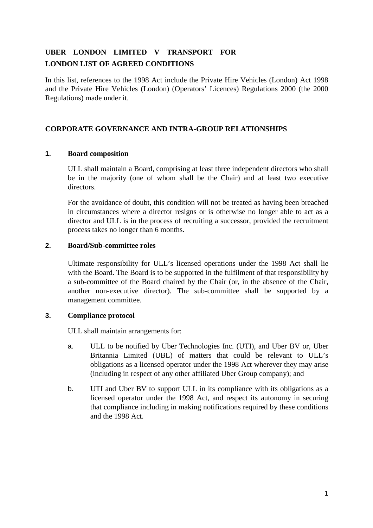# **UBER LONDON LIMITED V TRANSPORT FOR LONDON LIST OF AGREED CONDITIONS**

In this list, references to the 1998 Act include the Private Hire Vehicles (London) Act 1998 and the Private Hire Vehicles (London) (Operators' Licences) Regulations 2000 (the 2000 Regulations) made under it.

# **CORPORATE GOVERNANCE AND INTRA-GROUP RELATIONSHIPS**

## **1. Board composition**

ULL shall maintain a Board, comprising at least three independent directors who shall be in the majority (one of whom shall be the Chair) and at least two executive directors.

For the avoidance of doubt, this condition will not be treated as having been breached in circumstances where a director resigns or is otherwise no longer able to act as a director and ULL is in the process of recruiting a successor, provided the recruitment process takes no longer than 6 months.

## **2. Board/Sub-committee roles**

Ultimate responsibility for ULL's licensed operations under the 1998 Act shall lie with the Board. The Board is to be supported in the fulfilment of that responsibility by a sub-committee of the Board chaired by the Chair (or, in the absence of the Chair, another non-executive director). The sub-committee shall be supported by a management committee.

## **3. Compliance protocol**

ULL shall maintain arrangements for:

- a. ULL to be notified by Uber Technologies Inc. (UTI), and Uber BV or, Uber Britannia Limited (UBL) of matters that could be relevant to ULL's obligations as a licensed operator under the 1998 Act wherever they may arise (including in respect of any other affiliated Uber Group company); and
- b. UTI and Uber BV to support ULL in its compliance with its obligations as a licensed operator under the 1998 Act, and respect its autonomy in securing that compliance including in making notifications required by these conditions and the 1998 Act.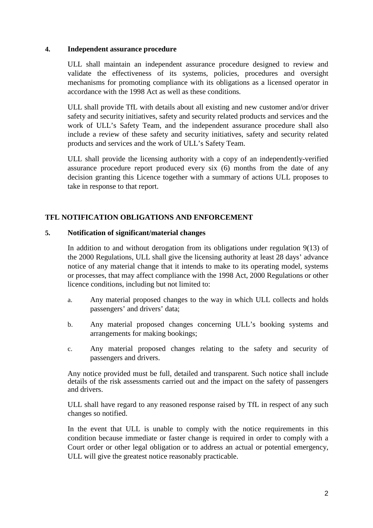#### **4. Independent assurance procedure**

ULL shall maintain an independent assurance procedure designed to review and validate the effectiveness of its systems, policies, procedures and oversight mechanisms for promoting compliance with its obligations as a licensed operator in accordance with the 1998 Act as well as these conditions*.* 

ULL shall provide TfL with details about all existing and new customer and/or driver safety and security initiatives, safety and security related products and services and the work of ULL's Safety Team, and the independent assurance procedure shall also include a review of these safety and security initiatives, safety and security related products and services and the work of ULL's Safety Team.

ULL shall provide the licensing authority with a copy of an independently-verified assurance procedure report produced every six (6) months from the date of any decision granting this Licence together with a summary of actions ULL proposes to take in response to that report.

# **TFL NOTIFICATION OBLIGATIONS AND ENFORCEMENT**

#### **5. Notification of significant/material changes**

In addition to and without derogation from its obligations under regulation 9(13) of the 2000 Regulations, ULL shall give the licensing authority at least 28 days' advance notice of any material change that it intends to make to its operating model, systems or processes, that may affect compliance with the 1998 Act, 2000 Regulations or other licence conditions, including but not limited to:

- a. Any material proposed changes to the way in which ULL collects and holds passengers' and drivers' data;
- b. Any material proposed changes concerning ULL's booking systems and arrangements for making bookings;
- c. Any material proposed changes relating to the safety and security of passengers and drivers.

Any notice provided must be full, detailed and transparent. Such notice shall include details of the risk assessments carried out and the impact on the safety of passengers and drivers.

ULL shall have regard to any reasoned response raised by TfL in respect of any such changes so notified.

In the event that ULL is unable to comply with the notice requirements in this condition because immediate or faster change is required in order to comply with a Court order or other legal obligation or to address an actual or potential emergency, ULL will give the greatest notice reasonably practicable.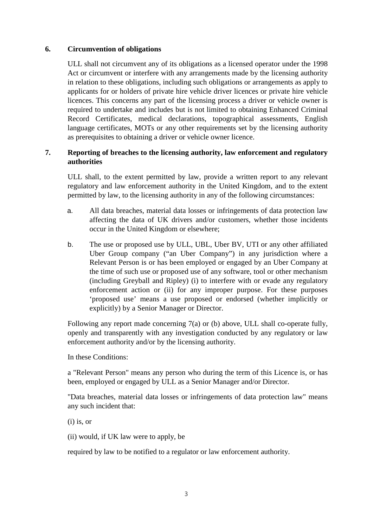#### **6. Circumvention of obligations**

ULL shall not circumvent any of its obligations as a licensed operator under the 1998 Act or circumvent or interfere with any arrangements made by the licensing authority in relation to these obligations, including such obligations or arrangements as apply to applicants for or holders of private hire vehicle driver licences or private hire vehicle licences. This concerns any part of the licensing process a driver or vehicle owner is required to undertake and includes but is not limited to obtaining Enhanced Criminal Record Certificates, medical declarations, topographical assessments, English language certificates, MOTs or any other requirements set by the licensing authority as prerequisites to obtaining a driver or vehicle owner licence.

#### **7. Reporting of breaches to the licensing authority, law enforcement and regulatory authorities**

ULL shall, to the extent permitted by law, provide a written report to any relevant regulatory and law enforcement authority in the United Kingdom, and to the extent permitted by law, to the licensing authority in any of the following circumstances:

- a. All data breaches, material data losses or infringements of data protection law affecting the data of UK drivers and/or customers, whether those incidents occur in the United Kingdom or elsewhere;
- b. The use or proposed use by ULL, UBL, Uber BV, UTI or any other affiliated Uber Group company ("an Uber Company") in any jurisdiction where a Relevant Person is or has been employed or engaged by an Uber Company at the time of such use or proposed use of any software, tool or other mechanism (including Greyball and Ripley) (i) to interfere with or evade any regulatory enforcement action or (ii) for any improper purpose. For these purposes 'proposed use' means a use proposed or endorsed (whether implicitly or explicitly) by a Senior Manager or Director.

Following any report made concerning 7(a) or (b) above, ULL shall co-operate fully, openly and transparently with any investigation conducted by any regulatory or law enforcement authority and/or by the licensing authority.

In these Conditions:

a "Relevant Person" means any person who during the term of this Licence is, or has been, employed or engaged by ULL as a Senior Manager and/or Director.

"Data breaches, material data losses or infringements of data protection law" means any such incident that:

(i) is, or

(ii) would, if UK law were to apply, be

required by law to be notified to a regulator or law enforcement authority.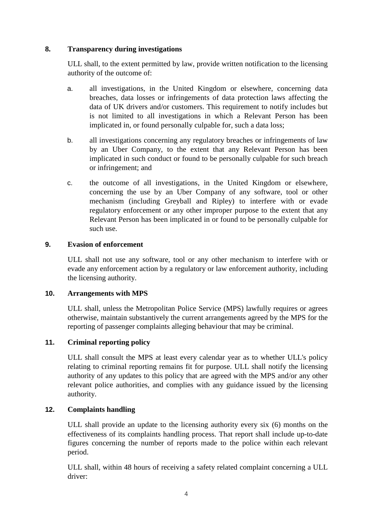#### **8. Transparency during investigations**

ULL shall, to the extent permitted by law, provide written notification to the licensing authority of the outcome of:

- a. all investigations, in the United Kingdom or elsewhere, concerning data breaches, data losses or infringements of data protection laws affecting the data of UK drivers and/or customers. This requirement to notify includes but is not limited to all investigations in which a Relevant Person has been implicated in, or found personally culpable for, such a data loss;
- b. all investigations concerning any regulatory breaches or infringements of law by an Uber Company, to the extent that any Relevant Person has been implicated in such conduct or found to be personally culpable for such breach or infringement; and
- c. the outcome of all investigations, in the United Kingdom or elsewhere, concerning the use by an Uber Company of any software, tool or other mechanism (including Greyball and Ripley) to interfere with or evade regulatory enforcement or any other improper purpose to the extent that any Relevant Person has been implicated in or found to be personally culpable for such use.

#### **9. Evasion of enforcement**

ULL shall not use any software, tool or any other mechanism to interfere with or evade any enforcement action by a regulatory or law enforcement authority, including the licensing authority.

#### **10. Arrangements with MPS**

ULL shall, unless the Metropolitan Police Service (MPS) lawfully requires or agrees otherwise, maintain substantively the current arrangements agreed by the MPS for the reporting of passenger complaints alleging behaviour that may be criminal.

## **11. Criminal reporting policy**

ULL shall consult the MPS at least every calendar year as to whether ULL's policy relating to criminal reporting remains fit for purpose. ULL shall notify the licensing authority of any updates to this policy that are agreed with the MPS and/or any other relevant police authorities, and complies with any guidance issued by the licensing authority.

## **12. Complaints handling**

ULL shall provide an update to the licensing authority every six (6) months on the effectiveness of its complaints handling process. That report shall include up-to-date figures concerning the number of reports made to the police within each relevant period.

ULL shall, within 48 hours of receiving a safety related complaint concerning a ULL driver: